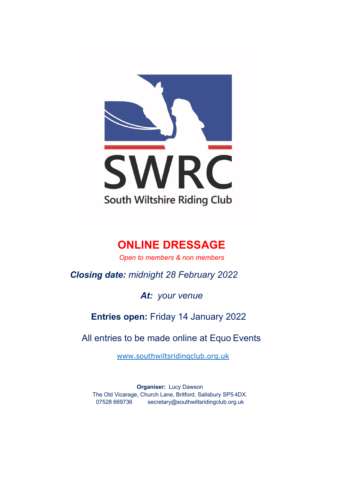

# **ONLINE DRESSAGE**

*Open to members & non members*

*Closing date: midnight 28 February 2022*

*At: your venue*

**Entries open:** Friday 14 January 2022

All entries to be made online at Equo Events

www.southwiltsridingclub.org.uk

**Organiser:** Lucy Dawson The Old Vicarage, Church Lane, Britford, Salisbury SP5 4DX. 07528 669736 secretary@southwiltsridingclub.org.uk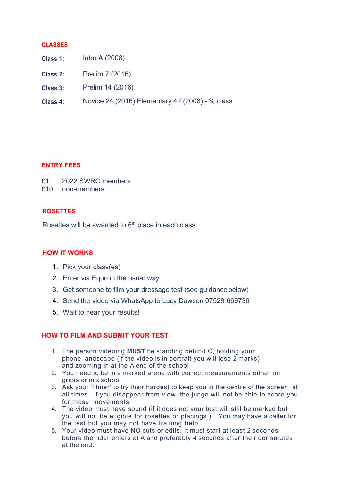#### **CLASSES**

- **Class 1:** Intro A (2008)
- **Class 2:** Prelim 7 (2016)
- **Class 3:** Prelim 14 (2016)
- **Class 4:** Novice 24 (2016) Elementary 42 (2008) - % class

#### **ENTRY FEES**

| £1 |  | 2022 SWRC members |
|----|--|-------------------|
|    |  |                   |

£10 non-members

### **ROSETTES**

Rosettes will be awarded to 6<sup>th</sup> place in each class.

### **HOW IT WORKS**

- 1. Pick your class(es)
- 2. Enter via Equo in the usual way
- 3. Get someone to film your dressage test (see guidance below)
- 4. Send the video via WhatsApp to Lucy Dawson 07528 669736
- 5. Wait to hear your results!

## **HOW TO FILM AND SUBMIT YOUR TEST**

- 1. The person videoing **MUST** be standing behind C, holding your phone landscape (if the video is in portrait you will lose 2 marks) and zooming in at the A end of the school.
- 2. You need to be in a marked arena with correct measurements either on grass or in aschool.
- 3. Ask your 'filmer' to try their hardest to keep you in the centre of the screen at all times - if you disappear from view, the judge will not be able to score you for those movements.
- 4. The video must have sound (if it does not your test will still be marked but you will not be eligible for rosettes or placings.) You may have a caller for the test but you may not have training help.
- 5. Your video must have NO cuts or edits. It must start at least 2 seconds before the rider enters at A and preferably 4 seconds after the rider salutes at the end.